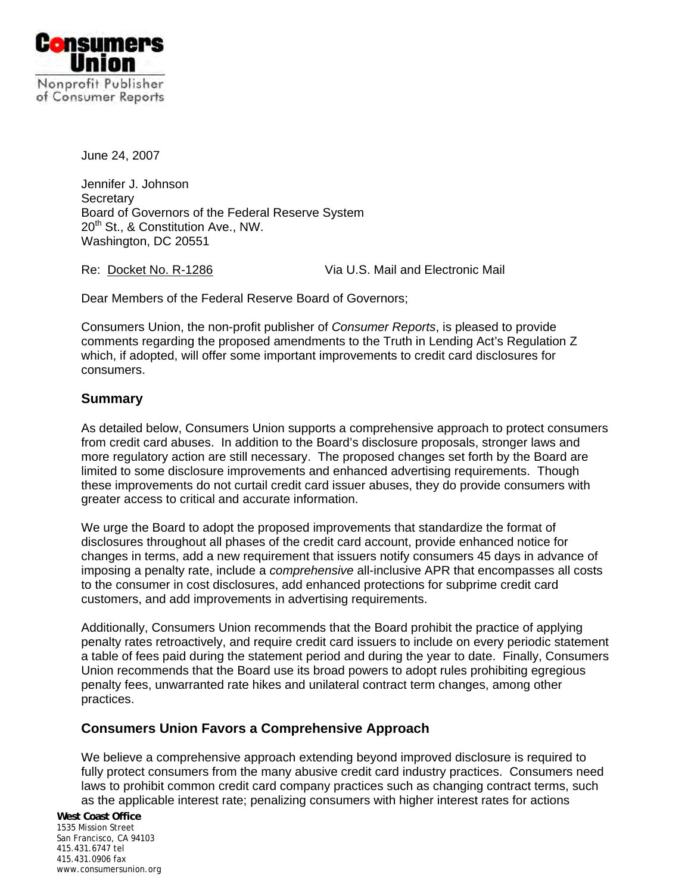

June 24, 2007

Jennifer J. Johnson **Secretary** Board of Governors of the Federal Reserve System 20<sup>th</sup> St., & Constitution Ave., NW. Washington, DC 20551

Re: Docket No. R-1286 Via U.S. Mail and Electronic Mail

Dear Members of the Federal Reserve Board of Governors;

Consumers Union, the non-profit publisher of *Consumer Reports*, is pleased to provide comments regarding the proposed amendments to the Truth in Lending Act's Regulation Z which, if adopted, will offer some important improvements to credit card disclosures for consumers.

# **Summary**

As detailed below, Consumers Union supports a comprehensive approach to protect consumers from credit card abuses. In addition to the Board's disclosure proposals, stronger laws and more regulatory action are still necessary. The proposed changes set forth by the Board are limited to some disclosure improvements and enhanced advertising requirements. Though these improvements do not curtail credit card issuer abuses, they do provide consumers with greater access to critical and accurate information.

We urge the Board to adopt the proposed improvements that standardize the format of disclosures throughout all phases of the credit card account, provide enhanced notice for changes in terms, add a new requirement that issuers notify consumers 45 days in advance of imposing a penalty rate, include a *comprehensive* all-inclusive APR that encompasses all costs to the consumer in cost disclosures, add enhanced protections for subprime credit card customers, and add improvements in advertising requirements.

Additionally, Consumers Union recommends that the Board prohibit the practice of applying penalty rates retroactively, and require credit card issuers to include on every periodic statement a table of fees paid during the statement period and during the year to date. Finally, Consumers Union recommends that the Board use its broad powers to adopt rules prohibiting egregious penalty fees, unwarranted rate hikes and unilateral contract term changes, among other practices.

# **Consumers Union Favors a Comprehensive Approach**

We believe a comprehensive approach extending beyond improved disclosure is required to fully protect consumers from the many abusive credit card industry practices. Consumers need laws to prohibit common credit card company practices such as changing contract terms, such as the applicable interest rate; penalizing consumers with higher interest rates for actions

**West Coast Office**  1535 Mission Street San Francisco, CA 94103 415.431.6747 tel 415.431.0906 fax www.consumersunion.org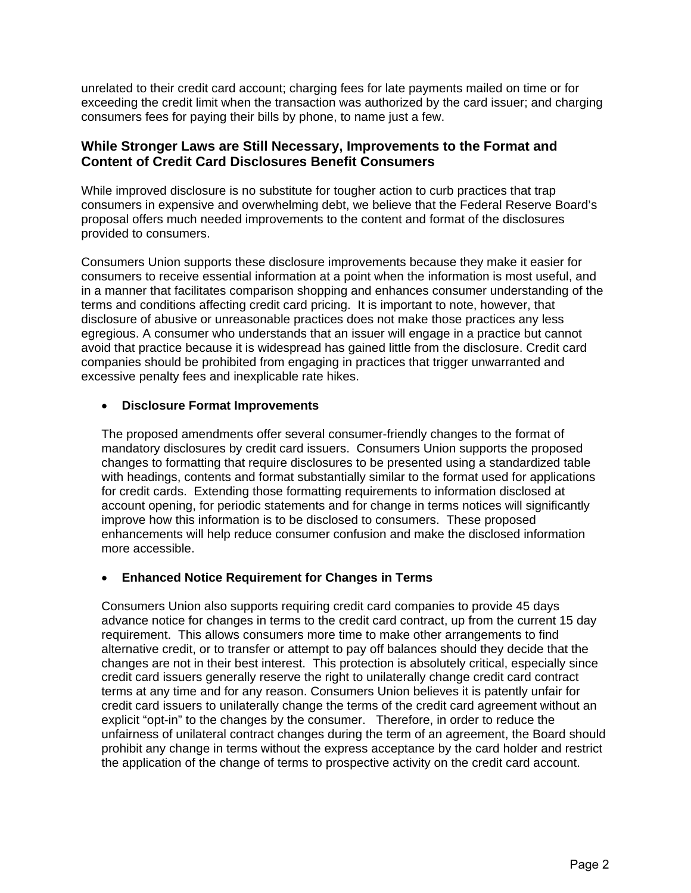unrelated to their credit card account; charging fees for late payments mailed on time or for exceeding the credit limit when the transaction was authorized by the card issuer; and charging consumers fees for paying their bills by phone, to name just a few.

## **While Stronger Laws are Still Necessary, Improvements to the Format and Content of Credit Card Disclosures Benefit Consumers**

While improved disclosure is no substitute for tougher action to curb practices that trap consumers in expensive and overwhelming debt, we believe that the Federal Reserve Board's proposal offers much needed improvements to the content and format of the disclosures provided to consumers.

Consumers Union supports these disclosure improvements because they make it easier for consumers to receive essential information at a point when the information is most useful, and in a manner that facilitates comparison shopping and enhances consumer understanding of the terms and conditions affecting credit card pricing. It is important to note, however, that disclosure of abusive or unreasonable practices does not make those practices any less egregious. A consumer who understands that an issuer will engage in a practice but cannot avoid that practice because it is widespread has gained little from the disclosure. Credit card companies should be prohibited from engaging in practices that trigger unwarranted and excessive penalty fees and inexplicable rate hikes.

## • **Disclosure Format Improvements**

The proposed amendments offer several consumer-friendly changes to the format of mandatory disclosures by credit card issuers. Consumers Union supports the proposed changes to formatting that require disclosures to be presented using a standardized table with headings, contents and format substantially similar to the format used for applications for credit cards. Extending those formatting requirements to information disclosed at account opening, for periodic statements and for change in terms notices will significantly improve how this information is to be disclosed to consumers. These proposed enhancements will help reduce consumer confusion and make the disclosed information more accessible.

## • **Enhanced Notice Requirement for Changes in Terms**

Consumers Union also supports requiring credit card companies to provide 45 days advance notice for changes in terms to the credit card contract, up from the current 15 day requirement. This allows consumers more time to make other arrangements to find alternative credit, or to transfer or attempt to pay off balances should they decide that the changes are not in their best interest. This protection is absolutely critical, especially since credit card issuers generally reserve the right to unilaterally change credit card contract terms at any time and for any reason. Consumers Union believes it is patently unfair for credit card issuers to unilaterally change the terms of the credit card agreement without an explicit "opt-in" to the changes by the consumer. Therefore, in order to reduce the unfairness of unilateral contract changes during the term of an agreement, the Board should prohibit any change in terms without the express acceptance by the card holder and restrict the application of the change of terms to prospective activity on the credit card account.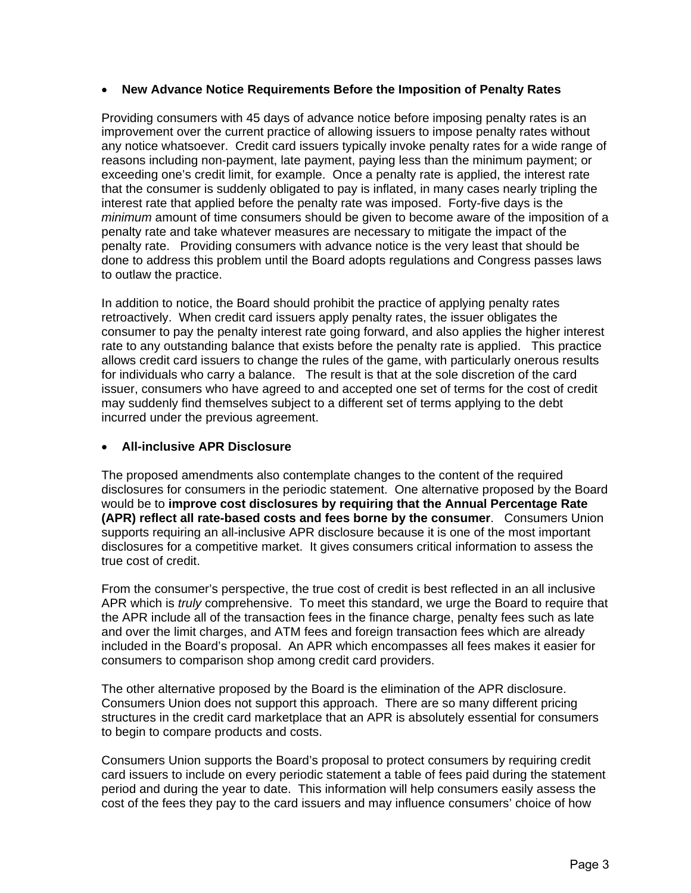#### • **New Advance Notice Requirements Before the Imposition of Penalty Rates**

Providing consumers with 45 days of advance notice before imposing penalty rates is an improvement over the current practice of allowing issuers to impose penalty rates without any notice whatsoever. Credit card issuers typically invoke penalty rates for a wide range of reasons including non-payment, late payment, paying less than the minimum payment; or exceeding one's credit limit, for example. Once a penalty rate is applied, the interest rate that the consumer is suddenly obligated to pay is inflated, in many cases nearly tripling the interest rate that applied before the penalty rate was imposed. Forty-five days is the *minimum* amount of time consumers should be given to become aware of the imposition of a penalty rate and take whatever measures are necessary to mitigate the impact of the penalty rate. Providing consumers with advance notice is the very least that should be done to address this problem until the Board adopts regulations and Congress passes laws to outlaw the practice.

In addition to notice, the Board should prohibit the practice of applying penalty rates retroactively. When credit card issuers apply penalty rates, the issuer obligates the consumer to pay the penalty interest rate going forward, and also applies the higher interest rate to any outstanding balance that exists before the penalty rate is applied. This practice allows credit card issuers to change the rules of the game, with particularly onerous results for individuals who carry a balance. The result is that at the sole discretion of the card issuer, consumers who have agreed to and accepted one set of terms for the cost of credit may suddenly find themselves subject to a different set of terms applying to the debt incurred under the previous agreement.

#### • **All-inclusive APR Disclosure**

The proposed amendments also contemplate changes to the content of the required disclosures for consumers in the periodic statement. One alternative proposed by the Board would be to **improve cost disclosures by requiring that the Annual Percentage Rate (APR) reflect all rate-based costs and fees borne by the consumer**. Consumers Union supports requiring an all-inclusive APR disclosure because it is one of the most important disclosures for a competitive market. It gives consumers critical information to assess the true cost of credit.

From the consumer's perspective, the true cost of credit is best reflected in an all inclusive APR which is *truly* comprehensive. To meet this standard, we urge the Board to require that the APR include all of the transaction fees in the finance charge, penalty fees such as late and over the limit charges, and ATM fees and foreign transaction fees which are already included in the Board's proposal. An APR which encompasses all fees makes it easier for consumers to comparison shop among credit card providers.

The other alternative proposed by the Board is the elimination of the APR disclosure. Consumers Union does not support this approach. There are so many different pricing structures in the credit card marketplace that an APR is absolutely essential for consumers to begin to compare products and costs.

Consumers Union supports the Board's proposal to protect consumers by requiring credit card issuers to include on every periodic statement a table of fees paid during the statement period and during the year to date. This information will help consumers easily assess the cost of the fees they pay to the card issuers and may influence consumers' choice of how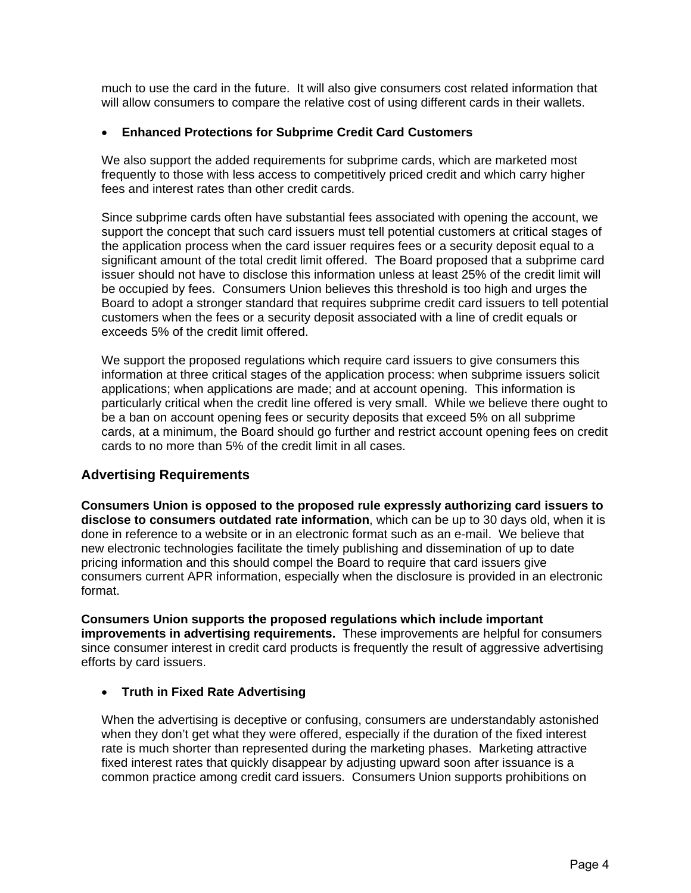much to use the card in the future. It will also give consumers cost related information that will allow consumers to compare the relative cost of using different cards in their wallets.

#### • **Enhanced Protections for Subprime Credit Card Customers**

We also support the added requirements for subprime cards, which are marketed most frequently to those with less access to competitively priced credit and which carry higher fees and interest rates than other credit cards.

Since subprime cards often have substantial fees associated with opening the account, we support the concept that such card issuers must tell potential customers at critical stages of the application process when the card issuer requires fees or a security deposit equal to a significant amount of the total credit limit offered. The Board proposed that a subprime card issuer should not have to disclose this information unless at least 25% of the credit limit will be occupied by fees. Consumers Union believes this threshold is too high and urges the Board to adopt a stronger standard that requires subprime credit card issuers to tell potential customers when the fees or a security deposit associated with a line of credit equals or exceeds 5% of the credit limit offered.

We support the proposed regulations which require card issuers to give consumers this information at three critical stages of the application process: when subprime issuers solicit applications; when applications are made; and at account opening. This information is particularly critical when the credit line offered is very small. While we believe there ought to be a ban on account opening fees or security deposits that exceed 5% on all subprime cards, at a minimum, the Board should go further and restrict account opening fees on credit cards to no more than 5% of the credit limit in all cases.

## **Advertising Requirements**

**Consumers Union is opposed to the proposed rule expressly authorizing card issuers to disclose to consumers outdated rate information**, which can be up to 30 days old, when it is done in reference to a website or in an electronic format such as an e-mail. We believe that new electronic technologies facilitate the timely publishing and dissemination of up to date pricing information and this should compel the Board to require that card issuers give consumers current APR information, especially when the disclosure is provided in an electronic format.

**Consumers Union supports the proposed regulations which include important improvements in advertising requirements.** These improvements are helpful for consumers since consumer interest in credit card products is frequently the result of aggressive advertising efforts by card issuers.

## • **Truth in Fixed Rate Advertising**

When the advertising is deceptive or confusing, consumers are understandably astonished when they don't get what they were offered, especially if the duration of the fixed interest rate is much shorter than represented during the marketing phases. Marketing attractive fixed interest rates that quickly disappear by adjusting upward soon after issuance is a common practice among credit card issuers. Consumers Union supports prohibitions on